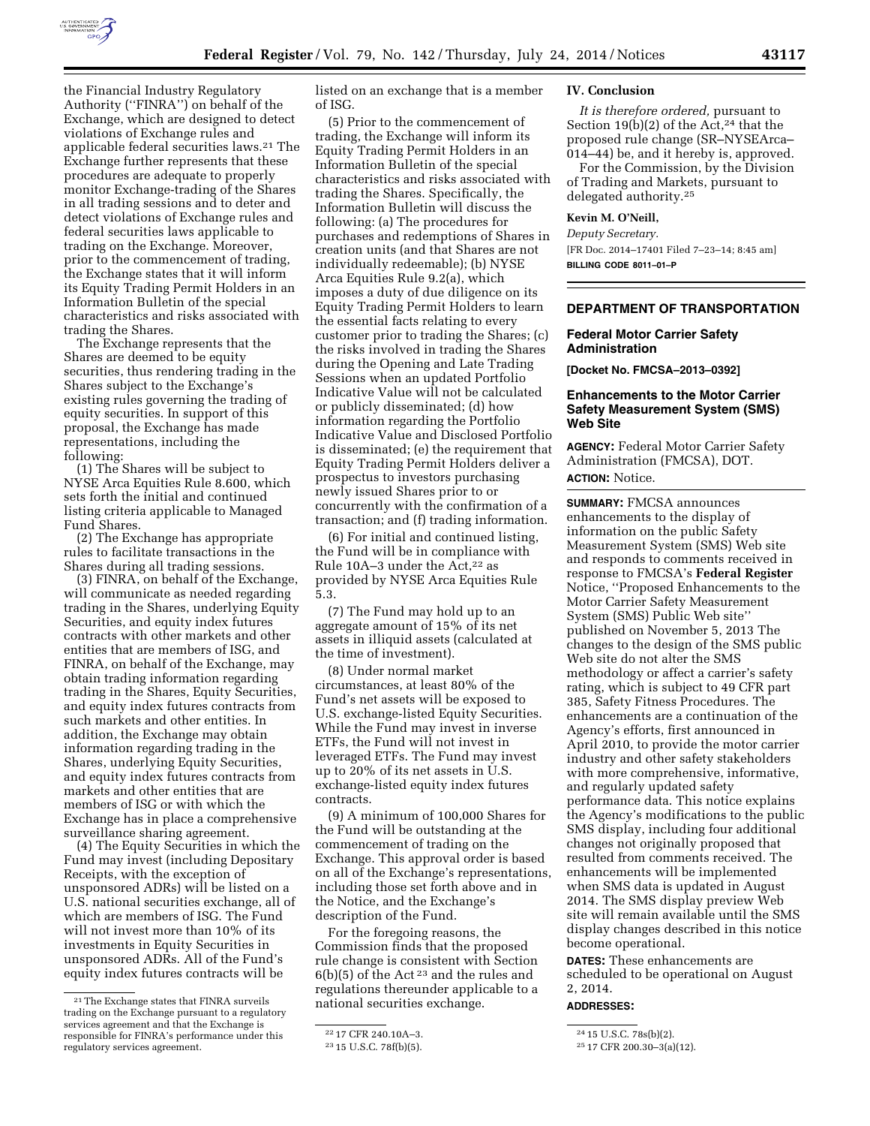

the Financial Industry Regulatory Authority (''FINRA'') on behalf of the Exchange, which are designed to detect violations of Exchange rules and applicable federal securities laws.21 The Exchange further represents that these procedures are adequate to properly monitor Exchange-trading of the Shares in all trading sessions and to deter and detect violations of Exchange rules and federal securities laws applicable to trading on the Exchange. Moreover, prior to the commencement of trading, the Exchange states that it will inform its Equity Trading Permit Holders in an

Information Bulletin of the special characteristics and risks associated with trading the Shares. The Exchange represents that the

Shares are deemed to be equity securities, thus rendering trading in the Shares subject to the Exchange's existing rules governing the trading of equity securities. In support of this proposal, the Exchange has made representations, including the following:

(1) The Shares will be subject to NYSE Arca Equities Rule 8.600, which sets forth the initial and continued listing criteria applicable to Managed Fund Shares.

(2) The Exchange has appropriate rules to facilitate transactions in the Shares during all trading sessions.

(3) FINRA, on behalf of the Exchange, will communicate as needed regarding trading in the Shares, underlying Equity Securities, and equity index futures contracts with other markets and other entities that are members of ISG, and FINRA, on behalf of the Exchange, may obtain trading information regarding trading in the Shares, Equity Securities, and equity index futures contracts from such markets and other entities. In addition, the Exchange may obtain information regarding trading in the Shares, underlying Equity Securities, and equity index futures contracts from markets and other entities that are members of ISG or with which the Exchange has in place a comprehensive surveillance sharing agreement.

(4) The Equity Securities in which the Fund may invest (including Depositary Receipts, with the exception of unsponsored ADRs) will be listed on a U.S. national securities exchange, all of which are members of ISG. The Fund will not invest more than 10% of its investments in Equity Securities in unsponsored ADRs. All of the Fund's equity index futures contracts will be

listed on an exchange that is a member of ISG.

(5) Prior to the commencement of trading, the Exchange will inform its Equity Trading Permit Holders in an Information Bulletin of the special characteristics and risks associated with trading the Shares. Specifically, the Information Bulletin will discuss the following: (a) The procedures for purchases and redemptions of Shares in creation units (and that Shares are not individually redeemable); (b) NYSE Arca Equities Rule 9.2(a), which imposes a duty of due diligence on its Equity Trading Permit Holders to learn the essential facts relating to every customer prior to trading the Shares; (c) the risks involved in trading the Shares during the Opening and Late Trading Sessions when an updated Portfolio Indicative Value will not be calculated or publicly disseminated; (d) how information regarding the Portfolio Indicative Value and Disclosed Portfolio is disseminated; (e) the requirement that Equity Trading Permit Holders deliver a prospectus to investors purchasing newly issued Shares prior to or concurrently with the confirmation of a transaction; and (f) trading information.

(6) For initial and continued listing, the Fund will be in compliance with Rule 10A–3 under the Act,<sup>22</sup> as provided by NYSE Arca Equities Rule 5.3.

(7) The Fund may hold up to an aggregate amount of 15% of its net assets in illiquid assets (calculated at the time of investment).

(8) Under normal market circumstances, at least 80% of the Fund's net assets will be exposed to U.S. exchange-listed Equity Securities. While the Fund may invest in inverse ETFs, the Fund will not invest in leveraged ETFs. The Fund may invest up to 20% of its net assets in U.S. exchange-listed equity index futures contracts.

(9) A minimum of 100,000 Shares for the Fund will be outstanding at the commencement of trading on the Exchange. This approval order is based on all of the Exchange's representations, including those set forth above and in the Notice, and the Exchange's description of the Fund.

For the foregoing reasons, the Commission finds that the proposed rule change is consistent with Section 6(b)(5) of the Act 23 and the rules and regulations thereunder applicable to a national securities exchange.

### **IV. Conclusion**

*It is therefore ordered,* pursuant to Section 19(b)(2) of the Act,<sup>24</sup> that the proposed rule change (SR–NYSEArca– 014–44) be, and it hereby is, approved.

For the Commission, by the Division of Trading and Markets, pursuant to delegated authority.25

### **Kevin M. O'Neill,**

*Deputy Secretary.*  [FR Doc. 2014–17401 Filed 7–23–14; 8:45 am] **BILLING CODE 8011–01–P** 

# **DEPARTMENT OF TRANSPORTATION**

# **Federal Motor Carrier Safety Administration**

**[Docket No. FMCSA–2013–0392]** 

## **Enhancements to the Motor Carrier Safety Measurement System (SMS) Web Site**

**AGENCY:** Federal Motor Carrier Safety Administration (FMCSA), DOT.

**ACTION:** Notice.

**SUMMARY:** FMCSA announces enhancements to the display of information on the public Safety Measurement System (SMS) Web site and responds to comments received in response to FMCSA's **Federal Register**  Notice, ''Proposed Enhancements to the Motor Carrier Safety Measurement System (SMS) Public Web site'' published on November 5, 2013 The changes to the design of the SMS public Web site do not alter the SMS methodology or affect a carrier's safety rating, which is subject to 49 CFR part 385, Safety Fitness Procedures. The enhancements are a continuation of the Agency's efforts, first announced in April 2010, to provide the motor carrier industry and other safety stakeholders with more comprehensive, informative, and regularly updated safety performance data. This notice explains the Agency's modifications to the public SMS display, including four additional changes not originally proposed that resulted from comments received. The enhancements will be implemented when SMS data is updated in August 2014. The SMS display preview Web site will remain available until the SMS display changes described in this notice become operational.

**DATES:** These enhancements are scheduled to be operational on August 2, 2014.

### **ADDRESSES:**

<sup>21</sup>The Exchange states that FINRA surveils trading on the Exchange pursuant to a regulatory services agreement and that the Exchange is responsible for FINRA's performance under this regulatory services agreement.

<sup>22</sup> 17 CFR 240.10A–3.

<sup>23</sup> 15 U.S.C. 78f(b)(5).

<sup>24</sup> 15 U.S.C. 78s(b)(2).

<sup>25</sup> 17 CFR 200.30–3(a)(12).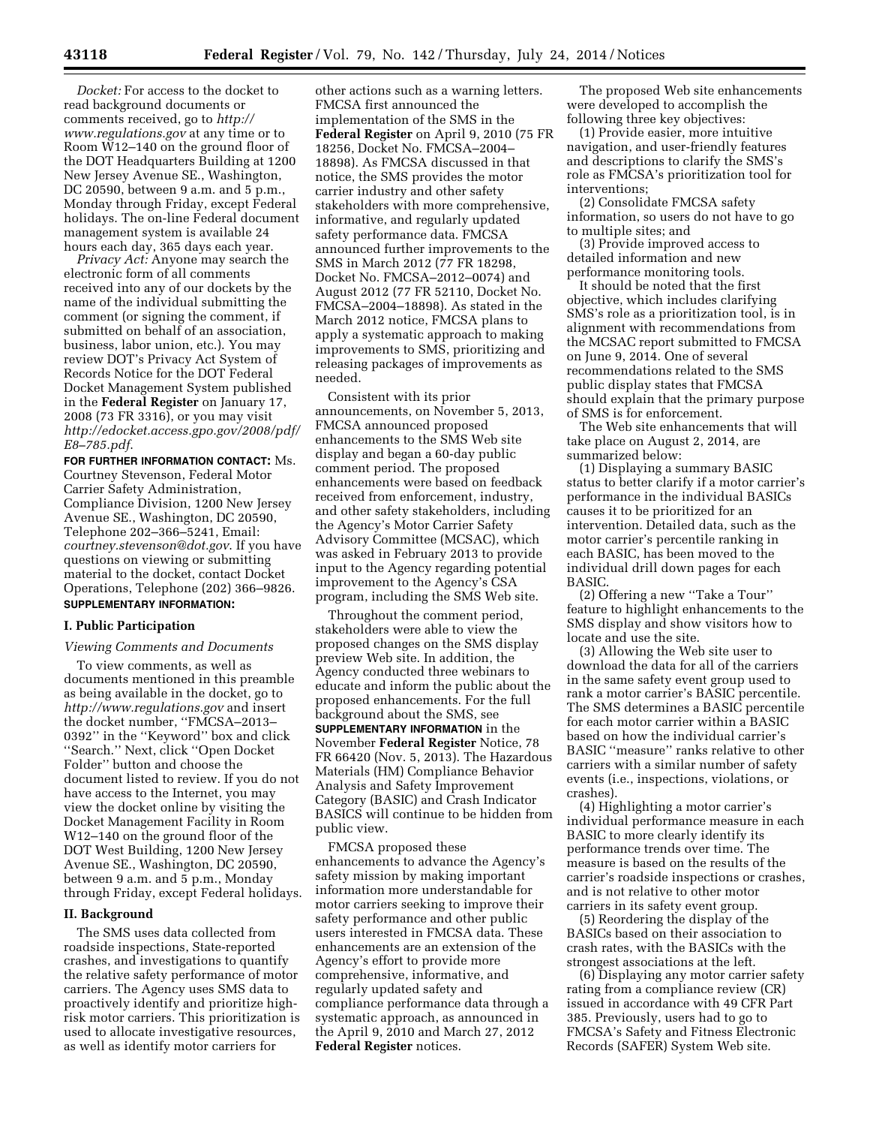*Docket:* For access to the docket to read background documents or comments received, go to *[http://](http://www.regulations.gov) [www.regulations.gov](http://www.regulations.gov)* at any time or to Room W12–140 on the ground floor of the DOT Headquarters Building at 1200 New Jersey Avenue SE., Washington, DC 20590, between 9 a.m. and 5 p.m., Monday through Friday, except Federal holidays. The on-line Federal document management system is available 24 hours each day, 365 days each year.

*Privacy Act:* Anyone may search the electronic form of all comments received into any of our dockets by the name of the individual submitting the comment (or signing the comment, if submitted on behalf of an association, business, labor union, etc.). You may review DOT's Privacy Act System of Records Notice for the DOT Federal Docket Management System published in the **Federal Register** on January 17, 2008 (73 FR 3316), or you may visit *[http://edocket.access.gpo.gov/2008/pdf/](http://edocket.access.gpo.gov/2008/pdf/E8-785.pdf) [E8–785.pdf](http://edocket.access.gpo.gov/2008/pdf/E8-785.pdf)*.

**FOR FURTHER INFORMATION CONTACT:** Ms. Courtney Stevenson, Federal Motor Carrier Safety Administration, Compliance Division, 1200 New Jersey Avenue SE., Washington, DC 20590, Telephone 202–366–5241, Email: *[courtney.stevenson@dot.gov](mailto:courtney.stevenson@dot.gov)*. If you have questions on viewing or submitting material to the docket, contact Docket Operations, Telephone (202) 366–9826. **SUPPLEMENTARY INFORMATION:** 

# **I. Public Participation**

#### *Viewing Comments and Documents*

To view comments, as well as documents mentioned in this preamble as being available in the docket, go to *<http://www.regulations.gov>* and insert the docket number, ''FMCSA–2013– 0392'' in the ''Keyword'' box and click ''Search.'' Next, click ''Open Docket Folder'' button and choose the document listed to review. If you do not have access to the Internet, you may view the docket online by visiting the Docket Management Facility in Room W12–140 on the ground floor of the DOT West Building, 1200 New Jersey Avenue SE., Washington, DC 20590, between 9 a.m. and 5 p.m., Monday through Friday, except Federal holidays.

### **II. Background**

The SMS uses data collected from roadside inspections, State-reported crashes, and investigations to quantify the relative safety performance of motor carriers. The Agency uses SMS data to proactively identify and prioritize highrisk motor carriers. This prioritization is used to allocate investigative resources, as well as identify motor carriers for

other actions such as a warning letters. FMCSA first announced the implementation of the SMS in the **Federal Register** on April 9, 2010 (75 FR 18256, Docket No. FMCSA–2004– 18898). As FMCSA discussed in that notice, the SMS provides the motor carrier industry and other safety stakeholders with more comprehensive, informative, and regularly updated safety performance data. FMCSA announced further improvements to the SMS in March 2012 (77 FR 18298, Docket No. FMCSA–2012–0074) and August 2012 (77 FR 52110, Docket No. FMCSA–2004–18898). As stated in the March 2012 notice, FMCSA plans to apply a systematic approach to making improvements to SMS, prioritizing and releasing packages of improvements as needed.

Consistent with its prior announcements, on November 5, 2013, FMCSA announced proposed enhancements to the SMS Web site display and began a 60-day public comment period. The proposed enhancements were based on feedback received from enforcement, industry, and other safety stakeholders, including the Agency's Motor Carrier Safety Advisory Committee (MCSAC), which was asked in February 2013 to provide input to the Agency regarding potential improvement to the Agency's CSA program, including the SMS Web site.

Throughout the comment period, stakeholders were able to view the proposed changes on the SMS display preview Web site. In addition, the Agency conducted three webinars to educate and inform the public about the proposed enhancements. For the full background about the SMS, see **SUPPLEMENTARY INFORMATION** in the November **Federal Register** Notice, 78 FR 66420 (Nov. 5, 2013). The Hazardous Materials (HM) Compliance Behavior Analysis and Safety Improvement Category (BASIC) and Crash Indicator BASICS will continue to be hidden from public view.

FMCSA proposed these enhancements to advance the Agency's safety mission by making important information more understandable for motor carriers seeking to improve their safety performance and other public users interested in FMCSA data. These enhancements are an extension of the Agency's effort to provide more comprehensive, informative, and regularly updated safety and compliance performance data through a systematic approach, as announced in the April 9, 2010 and March 27, 2012 **Federal Register** notices.

The proposed Web site enhancements were developed to accomplish the following three key objectives:

(1) Provide easier, more intuitive navigation, and user-friendly features and descriptions to clarify the SMS's role as FMCSA's prioritization tool for interventions;

(2) Consolidate FMCSA safety information, so users do not have to go to multiple sites; and

(3) Provide improved access to detailed information and new performance monitoring tools.

It should be noted that the first objective, which includes clarifying SMS's role as a prioritization tool, is in alignment with recommendations from the MCSAC report submitted to FMCSA on June 9, 2014. One of several recommendations related to the SMS public display states that FMCSA should explain that the primary purpose of SMS is for enforcement.

The Web site enhancements that will take place on August 2, 2014, are summarized below:

(1) Displaying a summary BASIC status to better clarify if a motor carrier's performance in the individual BASICs causes it to be prioritized for an intervention. Detailed data, such as the motor carrier's percentile ranking in each BASIC, has been moved to the individual drill down pages for each BASIC.

(2) Offering a new ''Take a Tour'' feature to highlight enhancements to the SMS display and show visitors how to locate and use the site.

(3) Allowing the Web site user to download the data for all of the carriers in the same safety event group used to rank a motor carrier's BASIC percentile. The SMS determines a BASIC percentile for each motor carrier within a BASIC based on how the individual carrier's BASIC ''measure'' ranks relative to other carriers with a similar number of safety events (i.e., inspections, violations, or crashes).

(4) Highlighting a motor carrier's individual performance measure in each BASIC to more clearly identify its performance trends over time. The measure is based on the results of the carrier's roadside inspections or crashes, and is not relative to other motor carriers in its safety event group.

(5) Reordering the display of the BASICs based on their association to crash rates, with the BASICs with the strongest associations at the left.

(6) Displaying any motor carrier safety rating from a compliance review (CR) issued in accordance with 49 CFR Part 385. Previously, users had to go to FMCSA's Safety and Fitness Electronic Records (SAFER) System Web site.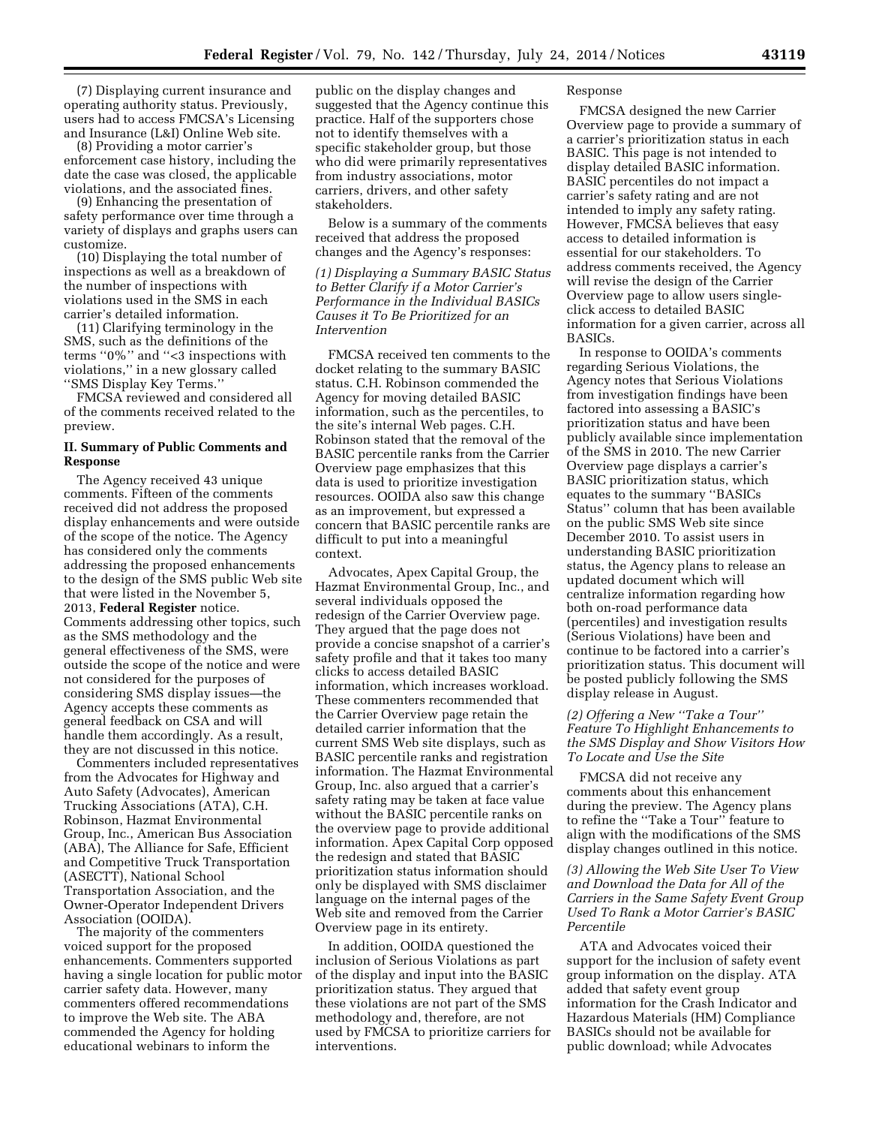(7) Displaying current insurance and operating authority status. Previously, users had to access FMCSA's Licensing and Insurance (L&I) Online Web site.

(8) Providing a motor carrier's enforcement case history, including the date the case was closed, the applicable violations, and the associated fines.

(9) Enhancing the presentation of safety performance over time through a variety of displays and graphs users can customize.

(10) Displaying the total number of inspections as well as a breakdown of the number of inspections with violations used in the SMS in each carrier's detailed information.

(11) Clarifying terminology in the SMS, such as the definitions of the terms ''0%'' and ''<3 inspections with violations,'' in a new glossary called ''SMS Display Key Terms.''

FMCSA reviewed and considered all of the comments received related to the preview.

### **II. Summary of Public Comments and Response**

The Agency received 43 unique comments. Fifteen of the comments received did not address the proposed display enhancements and were outside of the scope of the notice. The Agency has considered only the comments addressing the proposed enhancements to the design of the SMS public Web site that were listed in the November 5, 2013, **Federal Register** notice. Comments addressing other topics, such as the SMS methodology and the general effectiveness of the SMS, were outside the scope of the notice and were not considered for the purposes of considering SMS display issues—the Agency accepts these comments as general feedback on CSA and will handle them accordingly. As a result, they are not discussed in this notice.

Commenters included representatives from the Advocates for Highway and Auto Safety (Advocates), American Trucking Associations (ATA), C.H. Robinson, Hazmat Environmental Group, Inc., American Bus Association (ABA), The Alliance for Safe, Efficient and Competitive Truck Transportation (ASECTT), National School Transportation Association, and the Owner-Operator Independent Drivers Association (OOIDA).

The majority of the commenters voiced support for the proposed enhancements. Commenters supported having a single location for public motor carrier safety data. However, many commenters offered recommendations to improve the Web site. The ABA commended the Agency for holding educational webinars to inform the

public on the display changes and suggested that the Agency continue this practice. Half of the supporters chose not to identify themselves with a specific stakeholder group, but those who did were primarily representatives from industry associations, motor carriers, drivers, and other safety stakeholders.

Below is a summary of the comments received that address the proposed changes and the Agency's responses:

*(1) Displaying a Summary BASIC Status to Better Clarify if a Motor Carrier's Performance in the Individual BASICs Causes it To Be Prioritized for an Intervention* 

FMCSA received ten comments to the docket relating to the summary BASIC status. C.H. Robinson commended the Agency for moving detailed BASIC information, such as the percentiles, to the site's internal Web pages. C.H. Robinson stated that the removal of the BASIC percentile ranks from the Carrier Overview page emphasizes that this data is used to prioritize investigation resources. OOIDA also saw this change as an improvement, but expressed a concern that BASIC percentile ranks are difficult to put into a meaningful context.

Advocates, Apex Capital Group, the Hazmat Environmental Group, Inc., and several individuals opposed the redesign of the Carrier Overview page. They argued that the page does not provide a concise snapshot of a carrier's safety profile and that it takes too many clicks to access detailed BASIC information, which increases workload. These commenters recommended that the Carrier Overview page retain the detailed carrier information that the current SMS Web site displays, such as BASIC percentile ranks and registration information. The Hazmat Environmental Group, Inc. also argued that a carrier's safety rating may be taken at face value without the BASIC percentile ranks on the overview page to provide additional information. Apex Capital Corp opposed the redesign and stated that BASIC prioritization status information should only be displayed with SMS disclaimer language on the internal pages of the Web site and removed from the Carrier Overview page in its entirety.

In addition, OOIDA questioned the inclusion of Serious Violations as part of the display and input into the BASIC prioritization status. They argued that these violations are not part of the SMS methodology and, therefore, are not used by FMCSA to prioritize carriers for interventions.

### Response

FMCSA designed the new Carrier Overview page to provide a summary of a carrier's prioritization status in each BASIC. This page is not intended to display detailed BASIC information. BASIC percentiles do not impact a carrier's safety rating and are not intended to imply any safety rating. However, FMCSA believes that easy access to detailed information is essential for our stakeholders. To address comments received, the Agency will revise the design of the Carrier Overview page to allow users singleclick access to detailed BASIC information for a given carrier, across all BASICs.

In response to OOIDA's comments regarding Serious Violations, the Agency notes that Serious Violations from investigation findings have been factored into assessing a BASIC's prioritization status and have been publicly available since implementation of the SMS in 2010. The new Carrier Overview page displays a carrier's BASIC prioritization status, which equates to the summary ''BASICs Status'' column that has been available on the public SMS Web site since December 2010. To assist users in understanding BASIC prioritization status, the Agency plans to release an updated document which will centralize information regarding how both on-road performance data (percentiles) and investigation results (Serious Violations) have been and continue to be factored into a carrier's prioritization status. This document will be posted publicly following the SMS display release in August.

# *(2) Offering a New ''Take a Tour'' Feature To Highlight Enhancements to the SMS Display and Show Visitors How To Locate and Use the Site*

FMCSA did not receive any comments about this enhancement during the preview. The Agency plans to refine the ''Take a Tour'' feature to align with the modifications of the SMS display changes outlined in this notice.

*(3) Allowing the Web Site User To View and Download the Data for All of the Carriers in the Same Safety Event Group Used To Rank a Motor Carrier's BASIC Percentile* 

ATA and Advocates voiced their support for the inclusion of safety event group information on the display. ATA added that safety event group information for the Crash Indicator and Hazardous Materials (HM) Compliance BASICs should not be available for public download; while Advocates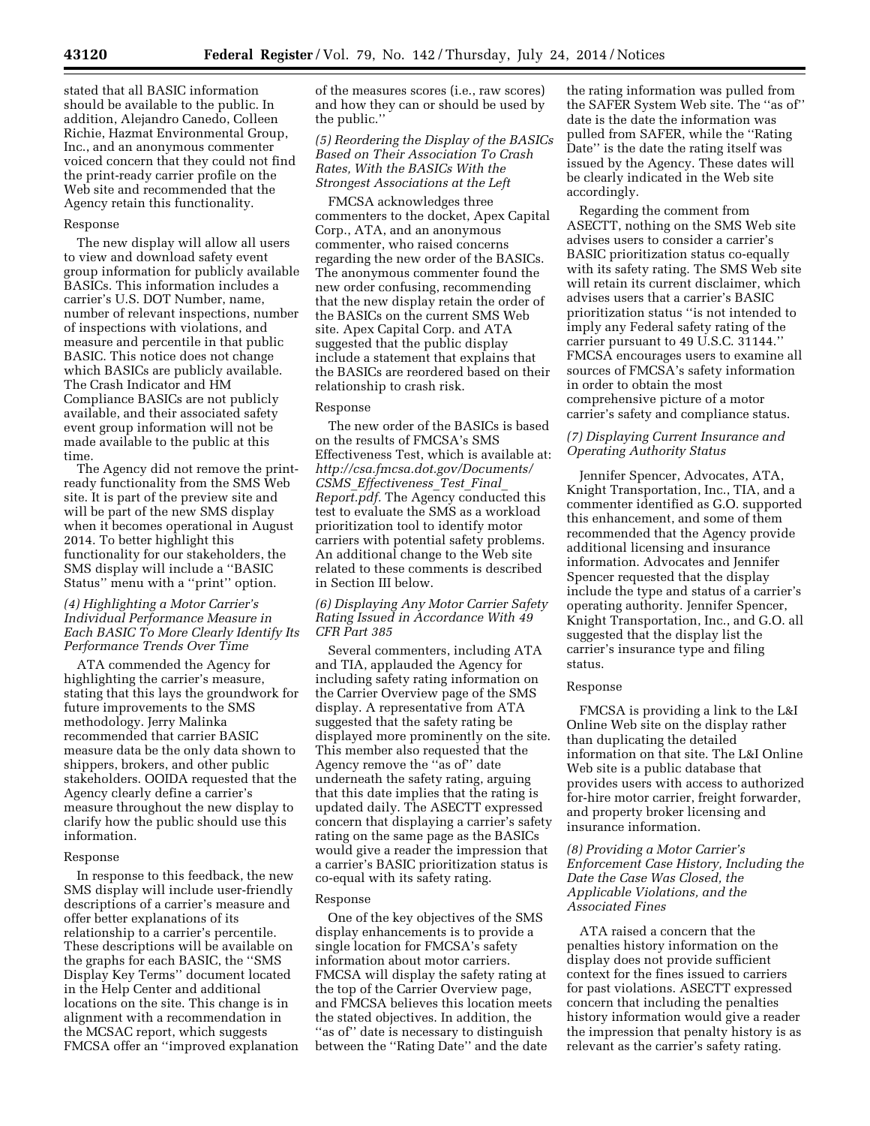stated that all BASIC information should be available to the public. In addition, Alejandro Canedo, Colleen Richie, Hazmat Environmental Group, Inc., and an anonymous commenter voiced concern that they could not find the print-ready carrier profile on the Web site and recommended that the Agency retain this functionality.

### Response

The new display will allow all users to view and download safety event group information for publicly available BASICs. This information includes a carrier's U.S. DOT Number, name, number of relevant inspections, number of inspections with violations, and measure and percentile in that public BASIC. This notice does not change which BASICs are publicly available. The Crash Indicator and HM Compliance BASICs are not publicly available, and their associated safety event group information will not be made available to the public at this time.

The Agency did not remove the printready functionality from the SMS Web site. It is part of the preview site and will be part of the new SMS display when it becomes operational in August 2014. To better highlight this functionality for our stakeholders, the SMS display will include a ''BASIC Status'' menu with a ''print'' option.

## *(4) Highlighting a Motor Carrier's Individual Performance Measure in Each BASIC To More Clearly Identify Its Performance Trends Over Time*

ATA commended the Agency for highlighting the carrier's measure, stating that this lays the groundwork for future improvements to the SMS methodology. Jerry Malinka recommended that carrier BASIC measure data be the only data shown to shippers, brokers, and other public stakeholders. OOIDA requested that the Agency clearly define a carrier's measure throughout the new display to clarify how the public should use this information.

#### Response

In response to this feedback, the new SMS display will include user-friendly descriptions of a carrier's measure and offer better explanations of its relationship to a carrier's percentile. These descriptions will be available on the graphs for each BASIC, the ''SMS Display Key Terms'' document located in the Help Center and additional locations on the site. This change is in alignment with a recommendation in the MCSAC report, which suggests FMCSA offer an ''improved explanation of the measures scores (i.e., raw scores) and how they can or should be used by the public.''

### *(5) Reordering the Display of the BASICs Based on Their Association To Crash Rates, With the BASICs With the Strongest Associations at the Left*

FMCSA acknowledges three commenters to the docket, Apex Capital Corp., ATA, and an anonymous commenter, who raised concerns regarding the new order of the BASICs. The anonymous commenter found the new order confusing, recommending that the new display retain the order of the BASICs on the current SMS Web site. Apex Capital Corp. and ATA suggested that the public display include a statement that explains that the BASICs are reordered based on their relationship to crash risk.

#### Response

The new order of the BASICs is based on the results of FMCSA's SMS Effectiveness Test, which is available at: *[http://csa.fmcsa.dot.gov/Documents/](http://csa.fmcsa.dot.gov/Documents/CSMS_Effectiveness_Test_Final_Report.pdf) CSMS*\_*[Effectiveness](http://csa.fmcsa.dot.gov/Documents/CSMS_Effectiveness_Test_Final_Report.pdf)*\_*Test*\_*Final*\_ *[Report.pdf.](http://csa.fmcsa.dot.gov/Documents/CSMS_Effectiveness_Test_Final_Report.pdf)* The Agency conducted this test to evaluate the SMS as a workload prioritization tool to identify motor carriers with potential safety problems. An additional change to the Web site related to these comments is described in Section III below.

## *(6) Displaying Any Motor Carrier Safety Rating Issued in Accordance With 49 CFR Part 385*

Several commenters, including ATA and TIA, applauded the Agency for including safety rating information on the Carrier Overview page of the SMS display. A representative from ATA suggested that the safety rating be displayed more prominently on the site. This member also requested that the Agency remove the ''as of'' date underneath the safety rating, arguing that this date implies that the rating is updated daily. The ASECTT expressed concern that displaying a carrier's safety rating on the same page as the BASICs would give a reader the impression that a carrier's BASIC prioritization status is co-equal with its safety rating.

#### Response

One of the key objectives of the SMS display enhancements is to provide a single location for FMCSA's safety information about motor carriers. FMCSA will display the safety rating at the top of the Carrier Overview page, and FMCSA believes this location meets the stated objectives. In addition, the "as of" date is necessary to distinguish between the ''Rating Date'' and the date

the rating information was pulled from the SAFER System Web site. The ''as of'' date is the date the information was pulled from SAFER, while the ''Rating Date'' is the date the rating itself was issued by the Agency. These dates will be clearly indicated in the Web site accordingly.

Regarding the comment from ASECTT, nothing on the SMS Web site advises users to consider a carrier's BASIC prioritization status co-equally with its safety rating. The SMS Web site will retain its current disclaimer, which advises users that a carrier's BASIC prioritization status ''is not intended to imply any Federal safety rating of the carrier pursuant to 49 U.S.C. 31144.'' FMCSA encourages users to examine all sources of FMCSA's safety information in order to obtain the most comprehensive picture of a motor carrier's safety and compliance status.

## *(7) Displaying Current Insurance and Operating Authority Status*

Jennifer Spencer, Advocates, ATA, Knight Transportation, Inc., TIA, and a commenter identified as G.O. supported this enhancement, and some of them recommended that the Agency provide additional licensing and insurance information. Advocates and Jennifer Spencer requested that the display include the type and status of a carrier's operating authority. Jennifer Spencer, Knight Transportation, Inc., and G.O. all suggested that the display list the carrier's insurance type and filing status.

### Response

FMCSA is providing a link to the L&I Online Web site on the display rather than duplicating the detailed information on that site. The L&I Online Web site is a public database that provides users with access to authorized for-hire motor carrier, freight forwarder, and property broker licensing and insurance information.

## *(8) Providing a Motor Carrier's Enforcement Case History, Including the Date the Case Was Closed, the Applicable Violations, and the Associated Fines*

ATA raised a concern that the penalties history information on the display does not provide sufficient context for the fines issued to carriers for past violations. ASECTT expressed concern that including the penalties history information would give a reader the impression that penalty history is as relevant as the carrier's safety rating.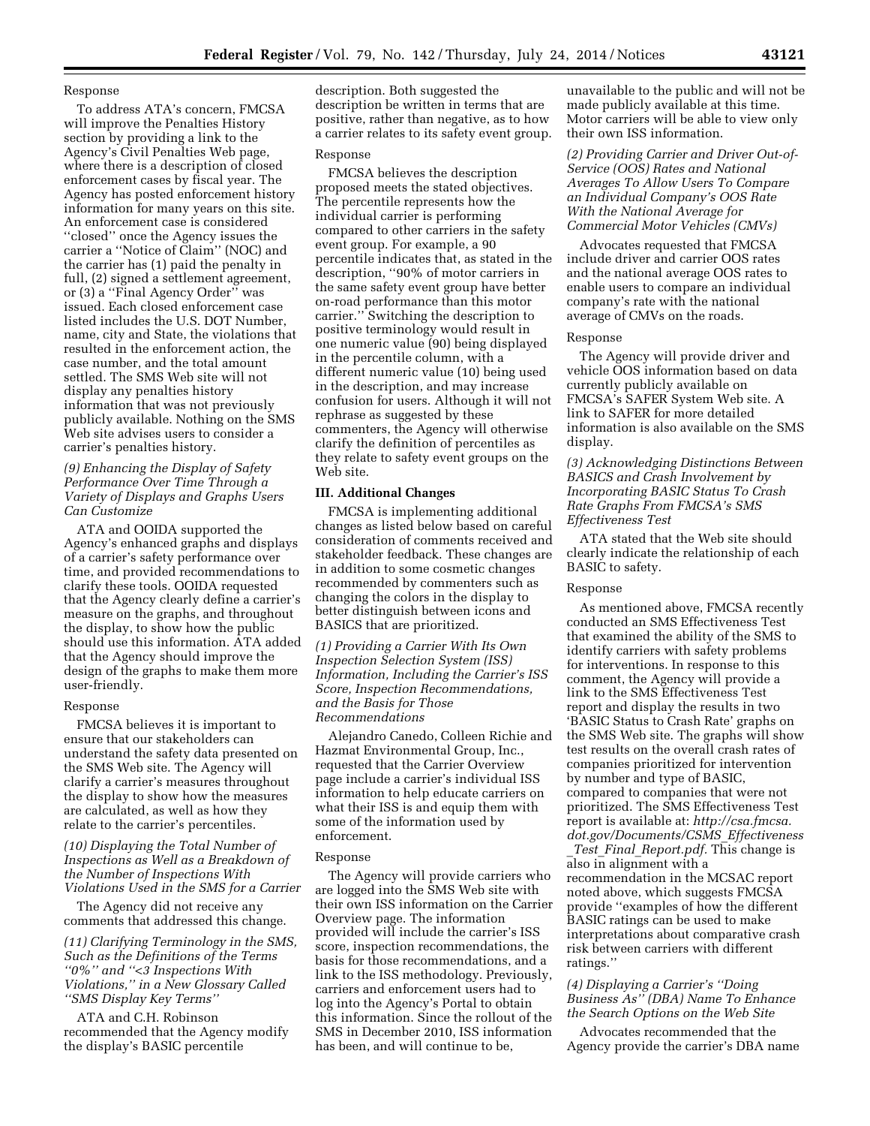# Response

To address ATA's concern, FMCSA will improve the Penalties History section by providing a link to the Agency's Civil Penalties Web page, where there is a description of closed enforcement cases by fiscal year. The Agency has posted enforcement history information for many years on this site. An enforcement case is considered ''closed'' once the Agency issues the carrier a ''Notice of Claim'' (NOC) and the carrier has (1) paid the penalty in full, (2) signed a settlement agreement, or (3) a ''Final Agency Order'' was issued. Each closed enforcement case listed includes the U.S. DOT Number, name, city and State, the violations that resulted in the enforcement action, the case number, and the total amount settled. The SMS Web site will not display any penalties history information that was not previously publicly available. Nothing on the SMS Web site advises users to consider a carrier's penalties history.

## *(9) Enhancing the Display of Safety Performance Over Time Through a Variety of Displays and Graphs Users Can Customize*

ATA and OOIDA supported the Agency's enhanced graphs and displays of a carrier's safety performance over time, and provided recommendations to clarify these tools. OOIDA requested that the Agency clearly define a carrier's measure on the graphs, and throughout the display, to show how the public should use this information. ATA added that the Agency should improve the design of the graphs to make them more user-friendly.

#### Response

FMCSA believes it is important to ensure that our stakeholders can understand the safety data presented on the SMS Web site. The Agency will clarify a carrier's measures throughout the display to show how the measures are calculated, as well as how they relate to the carrier's percentiles.

## *(10) Displaying the Total Number of Inspections as Well as a Breakdown of the Number of Inspections With Violations Used in the SMS for a Carrier*

The Agency did not receive any comments that addressed this change.

*(11) Clarifying Terminology in the SMS, Such as the Definitions of the Terms ''0%'' and ''<3 Inspections With Violations,'' in a New Glossary Called ''SMS Display Key Terms''* 

ATA and C.H. Robinson recommended that the Agency modify the display's BASIC percentile

description. Both suggested the description be written in terms that are positive, rather than negative, as to how a carrier relates to its safety event group.

#### Response

FMCSA believes the description proposed meets the stated objectives. The percentile represents how the individual carrier is performing compared to other carriers in the safety event group. For example, a 90 percentile indicates that, as stated in the description, ''90% of motor carriers in the same safety event group have better on-road performance than this motor carrier.'' Switching the description to positive terminology would result in one numeric value (90) being displayed in the percentile column, with a different numeric value (10) being used in the description, and may increase confusion for users. Although it will not rephrase as suggested by these commenters, the Agency will otherwise clarify the definition of percentiles as they relate to safety event groups on the Web site.

# **III. Additional Changes**

FMCSA is implementing additional changes as listed below based on careful consideration of comments received and stakeholder feedback. These changes are in addition to some cosmetic changes recommended by commenters such as changing the colors in the display to better distinguish between icons and BASICS that are prioritized.

*(1) Providing a Carrier With Its Own Inspection Selection System (ISS) Information, Including the Carrier's ISS Score, Inspection Recommendations, and the Basis for Those Recommendations* 

Alejandro Canedo, Colleen Richie and Hazmat Environmental Group, Inc., requested that the Carrier Overview page include a carrier's individual ISS information to help educate carriers on what their ISS is and equip them with some of the information used by enforcement.

#### Response

The Agency will provide carriers who are logged into the SMS Web site with their own ISS information on the Carrier Overview page. The information provided will include the carrier's ISS score, inspection recommendations, the basis for those recommendations, and a link to the ISS methodology. Previously, carriers and enforcement users had to log into the Agency's Portal to obtain this information. Since the rollout of the SMS in December 2010, ISS information has been, and will continue to be,

unavailable to the public and will not be made publicly available at this time. Motor carriers will be able to view only their own ISS information.

*(2) Providing Carrier and Driver Out-of-Service (OOS) Rates and National Averages To Allow Users To Compare an Individual Company's OOS Rate With the National Average for Commercial Motor Vehicles (CMVs)* 

Advocates requested that FMCSA include driver and carrier OOS rates and the national average OOS rates to enable users to compare an individual company's rate with the national average of CMVs on the roads.

#### Response

The Agency will provide driver and vehicle OOS information based on data currently publicly available on FMCSA's SAFER System Web site. A link to SAFER for more detailed information is also available on the SMS display.

## *(3) Acknowledging Distinctions Between BASICS and Crash Involvement by Incorporating BASIC Status To Crash Rate Graphs From FMCSA's SMS Effectiveness Test*

ATA stated that the Web site should clearly indicate the relationship of each BASIC to safety.

#### Response

As mentioned above, FMCSA recently conducted an SMS Effectiveness Test that examined the ability of the SMS to identify carriers with safety problems for interventions. In response to this comment, the Agency will provide a link to the SMS Effectiveness Test report and display the results in two 'BASIC Status to Crash Rate' graphs on the SMS Web site. The graphs will show test results on the overall crash rates of companies prioritized for intervention by number and type of BASIC, compared to companies that were not prioritized. The SMS Effectiveness Test report is available at: *[http://csa.fmcsa.](http://csa.fmcsa.dot.gov/Documents/CSMS_Effectiveness_Test_Final_Report.pdf) [dot.gov/Documents/CSMS](http://csa.fmcsa.dot.gov/Documents/CSMS_Effectiveness_Test_Final_Report.pdf)*\_*Effectiveness* \_*Test*\_*Final*\_*[Report.pdf.](http://csa.fmcsa.dot.gov/Documents/CSMS_Effectiveness_Test_Final_Report.pdf)* This change is also in alignment with a recommendation in the MCSAC report noted above, which suggests FMCSA provide ''examples of how the different BASIC ratings can be used to make interpretations about comparative crash risk between carriers with different ratings.''

## *(4) Displaying a Carrier's ''Doing Business As'' (DBA) Name To Enhance the Search Options on the Web Site*

Advocates recommended that the Agency provide the carrier's DBA name